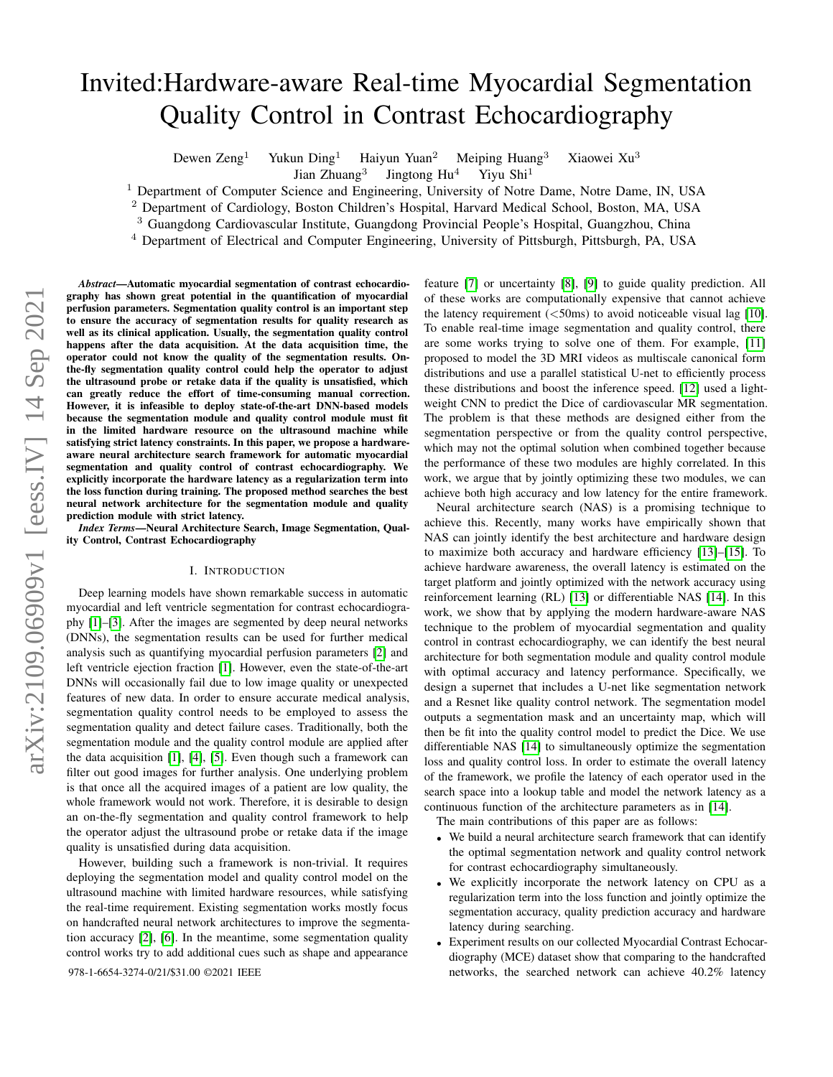# Invited:Hardware-aware Real-time Myocardial Segmentation Quality Control in Contrast Echocardiography

Dewen Zeng<sup>1</sup> Yukun Ding<sup>1</sup> Haiyun Yuan<sup>2</sup> Meiping Huang<sup>3</sup> Xiaowei Xu<sup>3</sup>

Jian Zhuang<sup>3</sup> Jingtong  $Hu^4$  Yiyu Shi<sup>1</sup>

<sup>1</sup> Department of Computer Science and Engineering, University of Notre Dame, Notre Dame, IN, USA

<sup>2</sup> Department of Cardiology, Boston Children's Hospital, Harvard Medical School, Boston, MA, USA

<sup>3</sup> Guangdong Cardiovascular Institute, Guangdong Provincial People's Hospital, Guangzhou, China

<sup>4</sup> Department of Electrical and Computer Engineering, University of Pittsburgh, Pittsburgh, PA, USA

arXiv:2109.06909v1 [eess.IV] 14 Sep 2021 arXiv:2109.06909v1 [eess.IV] 14 Sep 2021

*Abstract*—Automatic myocardial segmentation of contrast echocardiography has shown great potential in the quantification of myocardial perfusion parameters. Segmentation quality control is an important step to ensure the accuracy of segmentation results for quality research as well as its clinical application. Usually, the segmentation quality control happens after the data acquisition. At the data acquisition time, the operator could not know the quality of the segmentation results. Onthe-fly segmentation quality control could help the operator to adjust the ultrasound probe or retake data if the quality is unsatisfied, which can greatly reduce the effort of time-consuming manual correction. However, it is infeasible to deploy state-of-the-art DNN-based models because the segmentation module and quality control module must fit in the limited hardware resource on the ultrasound machine while satisfying strict latency constraints. In this paper, we propose a hardwareaware neural architecture search framework for automatic myocardial segmentation and quality control of contrast echocardiography. We explicitly incorporate the hardware latency as a regularization term into the loss function during training. The proposed method searches the best neural network architecture for the segmentation module and quality prediction module with strict latency.

*Index Terms*—Neural Architecture Search, Image Segmentation, Quality Control, Contrast Echocardiography

### I. INTRODUCTION

Deep learning models have shown remarkable success in automatic myocardial and left ventricle segmentation for contrast echocardiography [\[1\]](#page-3-0)–[\[3\]](#page-3-1). After the images are segmented by deep neural networks (DNNs), the segmentation results can be used for further medical analysis such as quantifying myocardial perfusion parameters [\[2\]](#page-3-2) and left ventricle ejection fraction [\[1\]](#page-3-0). However, even the state-of-the-art DNNs will occasionally fail due to low image quality or unexpected features of new data. In order to ensure accurate medical analysis, segmentation quality control needs to be employed to assess the segmentation quality and detect failure cases. Traditionally, both the segmentation module and the quality control module are applied after the data acquisition [\[1\]](#page-3-0), [\[4\]](#page-3-3), [\[5\]](#page-3-4). Even though such a framework can filter out good images for further analysis. One underlying problem is that once all the acquired images of a patient are low quality, the whole framework would not work. Therefore, it is desirable to design an on-the-fly segmentation and quality control framework to help the operator adjust the ultrasound probe or retake data if the image quality is unsatisfied during data acquisition.

However, building such a framework is non-trivial. It requires deploying the segmentation model and quality control model on the ultrasound machine with limited hardware resources, while satisfying the real-time requirement. Existing segmentation works mostly focus on handcrafted neural network architectures to improve the segmentation accuracy [\[2\]](#page-3-2), [\[6\]](#page-3-5). In the meantime, some segmentation quality control works try to add additional cues such as shape and appearance

feature [\[7\]](#page-3-6) or uncertainty [\[8\]](#page-3-7), [\[9\]](#page-3-8) to guide quality prediction. All of these works are computationally expensive that cannot achieve the latency requirement  $\left(\langle 50\text{ms} \rangle\right)$  to avoid noticeable visual lag [\[10\]](#page-3-9). To enable real-time image segmentation and quality control, there are some works trying to solve one of them. For example, [\[11\]](#page-3-10) proposed to model the 3D MRI videos as multiscale canonical form distributions and use a parallel statistical U-net to efficiently process these distributions and boost the inference speed. [\[12\]](#page-3-11) used a lightweight CNN to predict the Dice of cardiovascular MR segmentation. The problem is that these methods are designed either from the segmentation perspective or from the quality control perspective, which may not the optimal solution when combined together because the performance of these two modules are highly correlated. In this work, we argue that by jointly optimizing these two modules, we can achieve both high accuracy and low latency for the entire framework.

Neural architecture search (NAS) is a promising technique to achieve this. Recently, many works have empirically shown that NAS can jointly identify the best architecture and hardware design to maximize both accuracy and hardware efficiency [\[13\]](#page-3-12)–[\[15\]](#page-3-13). To achieve hardware awareness, the overall latency is estimated on the target platform and jointly optimized with the network accuracy using reinforcement learning (RL) [\[13\]](#page-3-12) or differentiable NAS [\[14\]](#page-3-14). In this work, we show that by applying the modern hardware-aware NAS technique to the problem of myocardial segmentation and quality control in contrast echocardiography, we can identify the best neural architecture for both segmentation module and quality control module with optimal accuracy and latency performance. Specifically, we design a supernet that includes a U-net like segmentation network and a Resnet like quality control network. The segmentation model outputs a segmentation mask and an uncertainty map, which will then be fit into the quality control model to predict the Dice. We use differentiable NAS [\[14\]](#page-3-14) to simultaneously optimize the segmentation loss and quality control loss. In order to estimate the overall latency of the framework, we profile the latency of each operator used in the search space into a lookup table and model the network latency as a continuous function of the architecture parameters as in [\[14\]](#page-3-14).

The main contributions of this paper are as follows:

- We build a neural architecture search framework that can identify the optimal segmentation network and quality control network for contrast echocardiography simultaneously.
- We explicitly incorporate the network latency on CPU as a regularization term into the loss function and jointly optimize the segmentation accuracy, quality prediction accuracy and hardware latency during searching.
- Experiment results on our collected Myocardial Contrast Echocardiography (MCE) dataset show that comparing to the handcrafted 978-1-6654-3274-0/21/\$31.00 ©2021 IEEE networks, the searched network can achieve 40.2% latency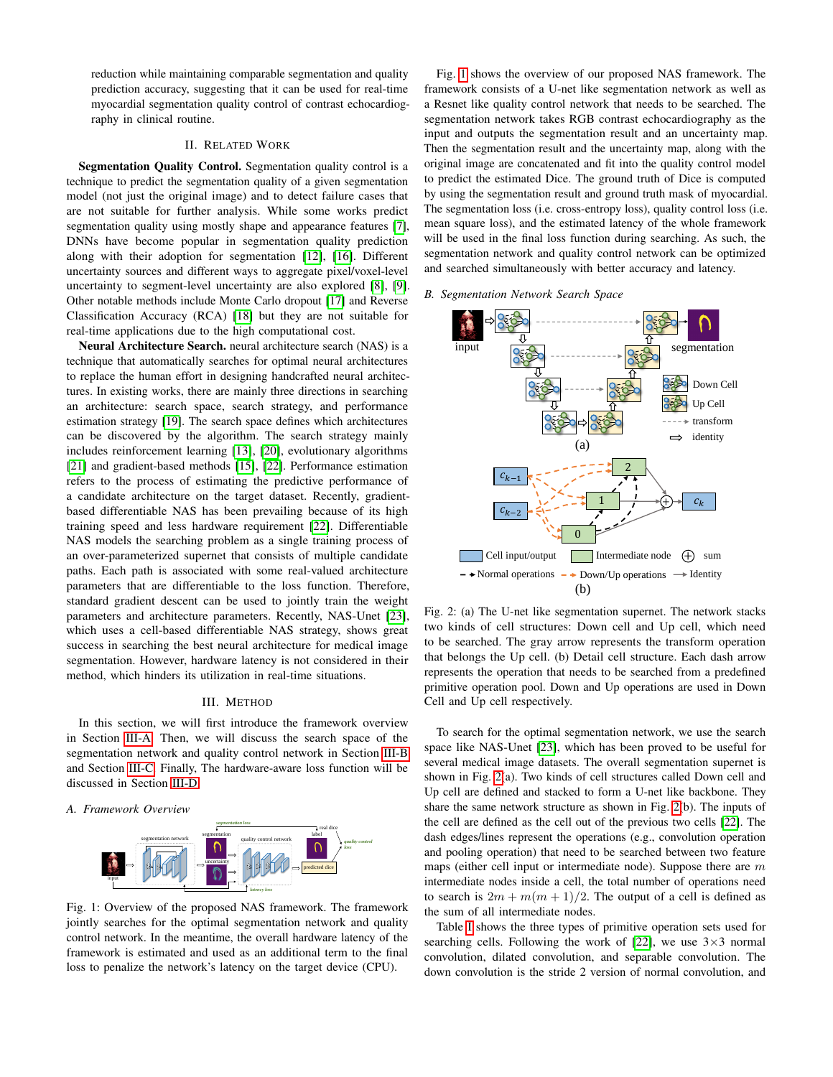reduction while maintaining comparable segmentation and quality prediction accuracy, suggesting that it can be used for real-time myocardial segmentation quality control of contrast echocardiography in clinical routine.

# II. RELATED WORK

Segmentation Quality Control. Segmentation quality control is a technique to predict the segmentation quality of a given segmentation model (not just the original image) and to detect failure cases that are not suitable for further analysis. While some works predict segmentation quality using mostly shape and appearance features [\[7\]](#page-3-6), DNNs have become popular in segmentation quality prediction along with their adoption for segmentation [\[12\]](#page-3-11), [\[16\]](#page-3-15). Different uncertainty sources and different ways to aggregate pixel/voxel-level uncertainty to segment-level uncertainty are also explored [\[8\]](#page-3-7), [\[9\]](#page-3-8). Other notable methods include Monte Carlo dropout [\[17\]](#page-3-16) and Reverse Classification Accuracy (RCA) [\[18\]](#page-3-17) but they are not suitable for real-time applications due to the high computational cost.

Neural Architecture Search. neural architecture search (NAS) is a technique that automatically searches for optimal neural architectures to replace the human effort in designing handcrafted neural architectures. In existing works, there are mainly three directions in searching an architecture: search space, search strategy, and performance estimation strategy [\[19\]](#page-3-18). The search space defines which architectures can be discovered by the algorithm. The search strategy mainly includes reinforcement learning [\[13\]](#page-3-12), [\[20\]](#page-3-19), evolutionary algorithms [\[21\]](#page-3-20) and gradient-based methods [\[15\]](#page-3-13), [\[22\]](#page-3-21). Performance estimation refers to the process of estimating the predictive performance of a candidate architecture on the target dataset. Recently, gradientbased differentiable NAS has been prevailing because of its high training speed and less hardware requirement [\[22\]](#page-3-21). Differentiable NAS models the searching problem as a single training process of an over-parameterized supernet that consists of multiple candidate paths. Each path is associated with some real-valued architecture parameters that are differentiable to the loss function. Therefore, standard gradient descent can be used to jointly train the weight parameters and architecture parameters. Recently, NAS-Unet [\[23\]](#page-3-22), which uses a cell-based differentiable NAS strategy, shows great success in searching the best neural architecture for medical image segmentation. However, hardware latency is not considered in their method, which hinders its utilization in real-time situations.

## III. METHOD

In this section, we will first introduce the framework overview in Section [III-A.](#page-1-0) Then, we will discuss the search space of the segmentation network and quality control network in Section [III-B](#page-1-1) and Section [III-C.](#page-2-0) Finally, The hardware-aware loss function will be discussed in Section [III-D.](#page-2-1)

#### <span id="page-1-0"></span>*A. Framework Overview*

<span id="page-1-2"></span>

Fig. 1: Overview of the proposed NAS framework. The framework jointly searches for the optimal segmentation network and quality control network. In the meantime, the overall hardware latency of the framework is estimated and used as an additional term to the final loss to penalize the network's latency on the target device (CPU).

Fig. [1](#page-1-2) shows the overview of our proposed NAS framework. The framework consists of a U-net like segmentation network as well as a Resnet like quality control network that needs to be searched. The segmentation network takes RGB contrast echocardiography as the input and outputs the segmentation result and an uncertainty map. Then the segmentation result and the uncertainty map, along with the original image are concatenated and fit into the quality control model to predict the estimated Dice. The ground truth of Dice is computed by using the segmentation result and ground truth mask of myocardial. The segmentation loss (i.e. cross-entropy loss), quality control loss (i.e. mean square loss), and the estimated latency of the whole framework will be used in the final loss function during searching. As such, the segmentation network and quality control network can be optimized and searched simultaneously with better accuracy and latency.

## <span id="page-1-1"></span>*B. Segmentation Network Search Space*

<span id="page-1-3"></span>

Fig. 2: (a) The U-net like segmentation supernet. The network stacks two kinds of cell structures: Down cell and Up cell, which need to be searched. The gray arrow represents the transform operation that belongs the Up cell. (b) Detail cell structure. Each dash arrow represents the operation that needs to be searched from a predefined primitive operation pool. Down and Up operations are used in Down Cell and Up cell respectively.

To search for the optimal segmentation network, we use the search space like NAS-Unet [\[23\]](#page-3-22), which has been proved to be useful for several medical image datasets. The overall segmentation supernet is shown in Fig. [2\(](#page-1-3)a). Two kinds of cell structures called Down cell and Up cell are defined and stacked to form a U-net like backbone. They share the same network structure as shown in Fig. [2\(](#page-1-3)b). The inputs of the cell are defined as the cell out of the previous two cells [\[22\]](#page-3-21). The dash edges/lines represent the operations (e.g., convolution operation and pooling operation) that need to be searched between two feature maps (either cell input or intermediate node). Suppose there are  $m$ intermediate nodes inside a cell, the total number of operations need to search is  $2m + m(m + 1)/2$ . The output of a cell is defined as the sum of all intermediate nodes.

Table [I](#page-2-2) shows the three types of primitive operation sets used for searching cells. Following the work of [\[22\]](#page-3-21), we use  $3\times3$  normal convolution, dilated convolution, and separable convolution. The down convolution is the stride 2 version of normal convolution, and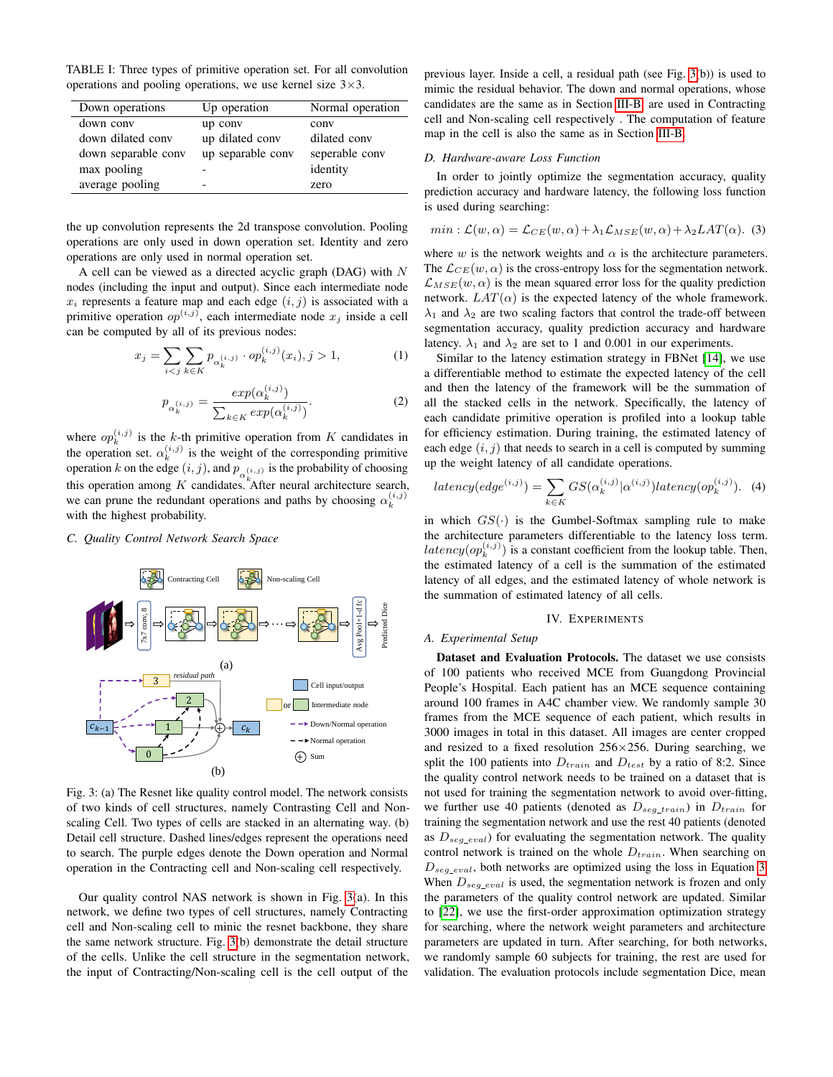<span id="page-2-2"></span>TABLE I: Three types of primitive operation set. For all convolution operations and pooling operations, we use kernel size  $3\times3$ .

| Down operations     | Up operation      | Normal operation |
|---------------------|-------------------|------------------|
| down conv           | up conv           | conv             |
| down dilated conv   | up dilated conv   | dilated conv     |
| down separable conv | up separable conv | seperable conv   |
| max pooling         |                   | identity         |
| average pooling     |                   | zero             |

the up convolution represents the 2d transpose convolution. Pooling operations are only used in down operation set. Identity and zero operations are only used in normal operation set.

A cell can be viewed as a directed acyclic graph (DAG) with N nodes (including the input and output). Since each intermediate node  $x_i$  represents a feature map and each edge  $(i, j)$  is associated with a primitive operation  $op^{(i,j)}$ , each intermediate node  $x_j$  inside a cell can be computed by all of its previous nodes:

$$
x_j = \sum_{i < j} \sum_{k \in K} p_{\alpha_k^{(i,j)}} \cdot op_k^{(i,j)}(x_i), j > 1,\tag{1}
$$

$$
p_{\alpha_k^{(i,j)}} = \frac{exp(\alpha_k^{(i,j)})}{\sum_{k \in K} exp(\alpha_k^{(i,j)})}.
$$
 (2)

where  $op_k^{(i,j)}$  is the k-th primitive operation from K candidates in where  $\partial p_k^k$  is the *k*-th primitive operation from *K* candidates in the operation set.  $\alpha_k^{(i,j)}$  is the weight of the corresponding primitive operation k on the edge  $(i, j)$ , and  $p_{\alpha_k^{(i,j)}}$  is the probability of choosing this operation among K candidates. After neural architecture search, we can prune the redundant operations and paths by choosing  $\alpha_k^{(i,j)}$ with the highest probability.

# <span id="page-2-0"></span>*C. Quality Control Network Search Space*

<span id="page-2-3"></span>

Fig. 3: (a) The Resnet like quality control model. The network consists of two kinds of cell structures, namely Contrasting Cell and Nonscaling Cell. Two types of cells are stacked in an alternating way. (b) Detail cell structure. Dashed lines/edges represent the operations need to search. The purple edges denote the Down operation and Normal operation in the Contracting cell and Non-scaling cell respectively.

Our quality control NAS network is shown in Fig. [3\(](#page-2-3)a). In this network, we define two types of cell structures, namely Contracting cell and Non-scaling cell to minic the resnet backbone, they share the same network structure. Fig. [3\(](#page-2-3)b) demonstrate the detail structure of the cells. Unlike the cell structure in the segmentation network, the input of Contracting/Non-scaling cell is the cell output of the

previous layer. Inside a cell, a residual path (see Fig. [3\(](#page-2-3)b)) is used to mimic the residual behavior. The down and normal operations, whose candidates are the same as in Section [III-B,](#page-1-1) are used in Contracting cell and Non-scaling cell respectively . The computation of feature map in the cell is also the same as in Section [III-B.](#page-1-1)

# <span id="page-2-1"></span>*D. Hardware-aware Loss Function*

In order to jointly optimize the segmentation accuracy, quality prediction accuracy and hardware latency, the following loss function is used during searching:

<span id="page-2-4"></span>
$$
min: \mathcal{L}(w, \alpha) = \mathcal{L}_{CE}(w, \alpha) + \lambda_1 \mathcal{L}_{MSE}(w, \alpha) + \lambda_2 LAT(\alpha).
$$
 (3)

where w is the network weights and  $\alpha$  is the architecture parameters. The  $\mathcal{L}_{CE}(w, \alpha)$  is the cross-entropy loss for the segmentation network.  $\mathcal{L}_{MSE}(w, \alpha)$  is the mean squared error loss for the quality prediction network.  $LAT(\alpha)$  is the expected latency of the whole framework.  $\lambda_1$  and  $\lambda_2$  are two scaling factors that control the trade-off between segmentation accuracy, quality prediction accuracy and hardware latency.  $\lambda_1$  and  $\lambda_2$  are set to 1 and 0.001 in our experiments.

Similar to the latency estimation strategy in FBNet [\[14\]](#page-3-14), we use a differentiable method to estimate the expected latency of the cell and then the latency of the framework will be the summation of all the stacked cells in the network. Specifically, the latency of each candidate primitive operation is profiled into a lookup table for efficiency estimation. During training, the estimated latency of each edge  $(i, j)$  that needs to search in a cell is computed by summing up the weight latency of all candidate operations.

$$
latency(edge^{(i,j)}) = \sum_{k \in K} GS(\alpha_k^{(i,j)} | \alpha^{(i,j)})| atency(op_k^{(i,j)})
$$
. (4)

in which  $GS(\cdot)$  is the Gumbel-Softmax sampling rule to make the architecture parameters differentiable to the latency loss term.  $latency(op_k^{(i,j)})$  is a constant coefficient from the lookup table. Then, the estimated latency of a cell is the summation of the estimated latency of all edges, and the estimated latency of whole network is the summation of estimated latency of all cells.

### IV. EXPERIMENTS

# *A. Experimental Setup*

Dataset and Evaluation Protocols. The dataset we use consists of 100 patients who received MCE from Guangdong Provincial People's Hospital. Each patient has an MCE sequence containing around 100 frames in A4C chamber view. We randomly sample 30 frames from the MCE sequence of each patient, which results in 3000 images in total in this dataset. All images are center cropped and resized to a fixed resolution  $256 \times 256$ . During searching, we split the 100 patients into  $D_{train}$  and  $D_{test}$  by a ratio of 8:2. Since the quality control network needs to be trained on a dataset that is not used for training the segmentation network to avoid over-fitting, we further use 40 patients (denoted as  $D_{seg\_train}$ ) in  $D_{train}$  for training the segmentation network and use the rest 40 patients (denoted as  $D_{seg\_eval}$ ) for evaluating the segmentation network. The quality control network is trained on the whole  $D_{train}$ . When searching on  $D_{seg\_eval}$ , both networks are optimized using the loss in Equation [3.](#page-2-4) When  $D_{seq\_eval}$  is used, the segmentation network is frozen and only the parameters of the quality control network are updated. Similar to [\[22\]](#page-3-21), we use the first-order approximation optimization strategy for searching, where the network weight parameters and architecture parameters are updated in turn. After searching, for both networks, we randomly sample 60 subjects for training, the rest are used for validation. The evaluation protocols include segmentation Dice, mean